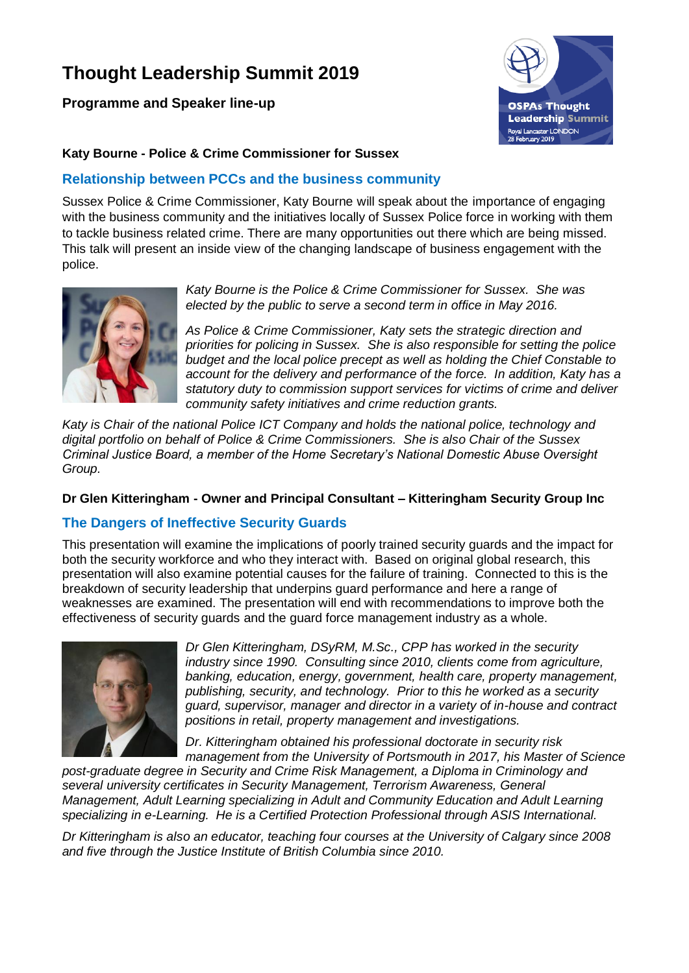# **Thought Leadership Summit 2019**

**Programme and Speaker line-up**



### **Katy Bourne - Police & Crime Commissioner for Sussex**

## **Relationship between PCCs and the business community**

Sussex Police & Crime Commissioner, Katy Bourne will speak about the importance of engaging with the business community and the initiatives locally of Sussex Police force in working with them to tackle business related crime. There are many opportunities out there which are being missed. This talk will present an inside view of the changing landscape of business engagement with the police.



*Katy Bourne is the Police & Crime Commissioner for Sussex. She was elected by the public to serve a second term in office in May 2016.*

*As Police & Crime Commissioner, Katy sets the strategic direction and priorities for policing in Sussex. She is also responsible for setting the police budget and the local police precept as well as holding the Chief Constable to account for the delivery and performance of the force. In addition, Katy has a statutory duty to commission support services for victims of crime and deliver community safety initiatives and crime reduction grants.*

*Katy is Chair of the national Police ICT Company and holds the national police, technology and digital portfolio on behalf of Police & Crime Commissioners. She is also Chair of the Sussex Criminal Justice Board, a member of the Home Secretary's National Domestic Abuse Oversight Group.* 

#### **Dr Glen Kitteringham - Owner and Principal Consultant – Kitteringham Security Group Inc**

# **The Dangers of Ineffective Security Guards**

This presentation will examine the implications of poorly trained security guards and the impact for both the security workforce and who they interact with. Based on original global research, this presentation will also examine potential causes for the failure of training. Connected to this is the breakdown of security leadership that underpins guard performance and here a range of weaknesses are examined. The presentation will end with recommendations to improve both the effectiveness of security guards and the guard force management industry as a whole.



*Dr Glen Kitteringham, DSyRM, M.Sc., CPP has worked in the security industry since 1990. Consulting since 2010, clients come from agriculture, banking, education, energy, government, health care, property management, publishing, security, and technology. Prior to this he worked as a security guard, supervisor, manager and director in a variety of in-house and contract positions in retail, property management and investigations.* 

*Dr. Kitteringham obtained his professional doctorate in security risk management from the University of Portsmouth in 2017, his Master of Science* 

*post-graduate degree in Security and Crime Risk Management, a Diploma in Criminology and several university certificates in Security Management, Terrorism Awareness, General Management, Adult Learning specializing in Adult and Community Education and Adult Learning specializing in e-Learning. He is a Certified Protection Professional through ASIS International.* 

*Dr Kitteringham is also an educator, teaching four courses at the University of Calgary since 2008 and five through the Justice Institute of British Columbia since 2010.*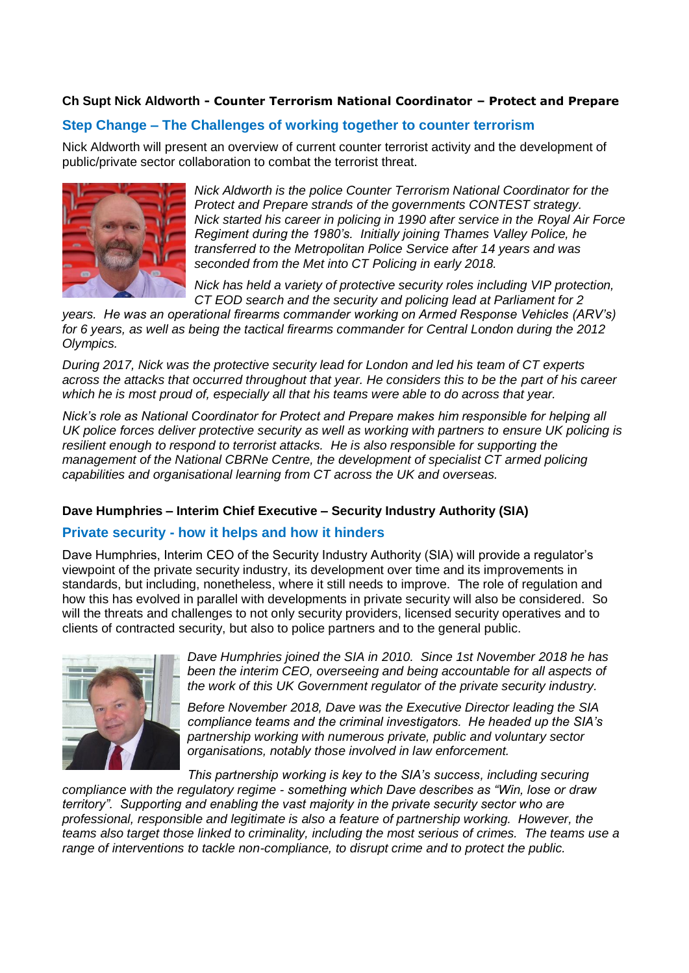### **Ch Supt Nick Aldworth - Counter Terrorism National Coordinator – Protect and Prepare**

# **Step Change – The Challenges of working together to counter terrorism**

Nick Aldworth will present an overview of current counter terrorist activity and the development of public/private sector collaboration to combat the terrorist threat.



*Nick Aldworth is the police Counter Terrorism National Coordinator for the Protect and Prepare strands of the governments CONTEST strategy. Nick started his career in policing in 1990 after service in the Royal Air Force Regiment during the 1980's. Initially joining Thames Valley Police, he transferred to the Metropolitan Police Service after 14 years and was seconded from the Met into CT Policing in early 2018.*

*Nick has held a variety of protective security roles including VIP protection, CT EOD search and the security and policing lead at Parliament for 2* 

*years. He was an operational firearms commander working on Armed Response Vehicles (ARV's) for 6 years, as well as being the tactical firearms commander for Central London during the 2012 Olympics.*

*During 2017, Nick was the protective security lead for London and led his team of CT experts across the attacks that occurred throughout that year. He considers this to be the part of his career which he is most proud of, especially all that his teams were able to do across that year.*

*Nick's role as National Coordinator for Protect and Prepare makes him responsible for helping all UK police forces deliver protective security as well as working with partners to ensure UK policing is resilient enough to respond to terrorist attacks. He is also responsible for supporting the management of the National CBRNe Centre, the development of specialist CT armed policing capabilities and organisational learning from CT across the UK and overseas.*

#### **Dave Humphries – Interim Chief Executive – Security Industry Authority (SIA)**

# **Private security - how it helps and how it hinders**

Dave Humphries, Interim CEO of the Security Industry Authority (SIA) will provide a regulator's viewpoint of the private security industry, its development over time and its improvements in standards, but including, nonetheless, where it still needs to improve. The role of regulation and how this has evolved in parallel with developments in private security will also be considered. So will the threats and challenges to not only security providers, licensed security operatives and to clients of contracted security, but also to police partners and to the general public.



*Dave Humphries joined the SIA in 2010. Since 1st November 2018 he has been the interim CEO, overseeing and being accountable for all aspects of the work of this UK Government regulator of the private security industry.*

*Before November 2018, Dave was the Executive Director leading the SIA compliance teams and the criminal investigators. He headed up the SIA's partnership working with numerous private, public and voluntary sector organisations, notably those involved in law enforcement.* 

*This partnership working is key to the SIA's success, including securing compliance with the regulatory regime - something which Dave describes as "Win, lose or draw territory". Supporting and enabling the vast majority in the private security sector who are professional, responsible and legitimate is also a feature of partnership working. However, the teams also target those linked to criminality, including the most serious of crimes. The teams use a range of interventions to tackle non-compliance, to disrupt crime and to protect the public.*